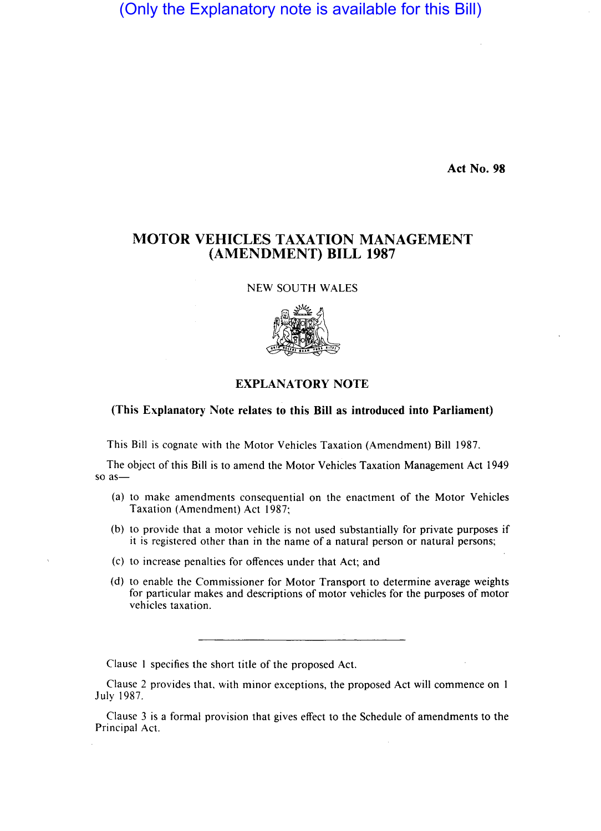(Only the Explanatory note is available for this Bill)

Act No. 98

## MOTOR VEHICLES TAXATION MANAGEMENT (AMENDMENT) BILL 1987

NEW SOUTH WALES



## EXPLANATORY NOTE

## (This Explanatory Note relates to this Bill as introduced into Parliament)

This Bill is cognate with the Motor Vehicles Taxation (Amendment) Bill 1987.

The object of this Bill is to amend the Motor Vehicles Taxation Management Act 1949 so as-

- (a) to make amendments consequential on the enactment of the Motor Vehicles Taxation (Amendment) Act 1987;
- (b) to provide that a motor vehicle is not used substantially for private purposes if it is registered other than in the name of a natural person or natural persons;
- (c) to increase penalties for offences under that Act; and
- (d) to enable the Commissioner for Motor Transport to determine average weights for particular makes and descriptions of motor vehicles for the purposes of motor vehicles taxation.

Clause I specifies the short title of the proposed Act.

Clause 2 provides that, with minor exceptions, the proposed Act will commence on 1 July 1987.

Clause 3 is a formal provision that gives effect to the Schedule of amendments to the Principal Act.